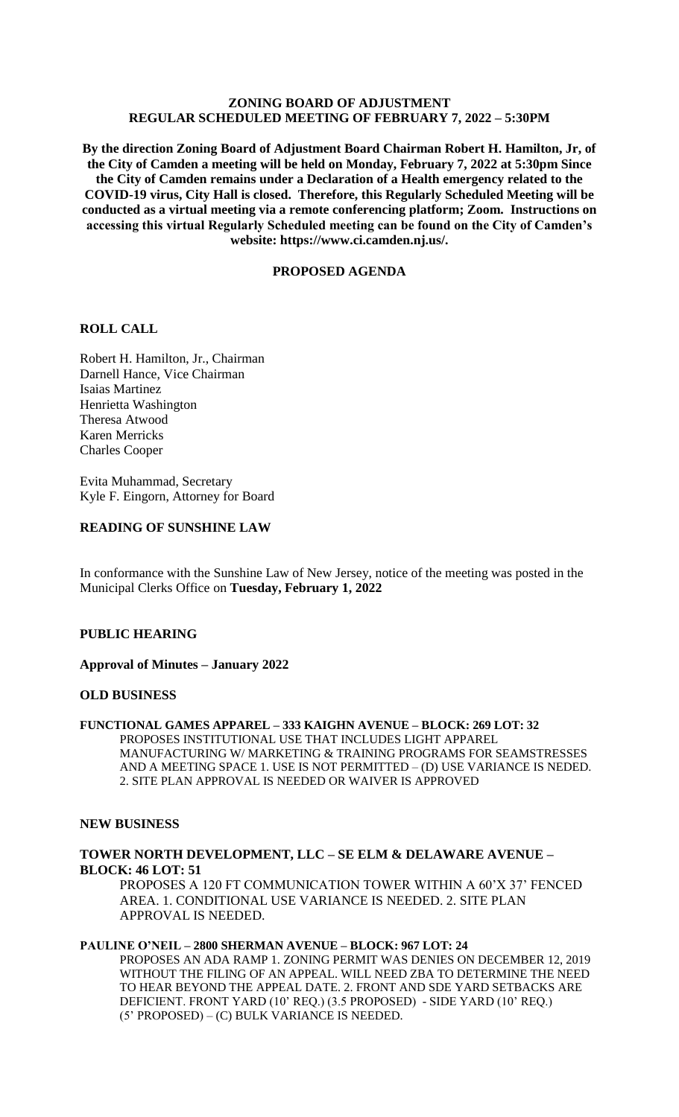# **ZONING BOARD OF ADJUSTMENT REGULAR SCHEDULED MEETING OF FEBRUARY 7, 2022 – 5:30PM**

**By the direction Zoning Board of Adjustment Board Chairman Robert H. Hamilton, Jr, of the City of Camden a meeting will be held on Monday, February 7, 2022 at 5:30pm Since the City of Camden remains under a Declaration of a Health emergency related to the COVID-19 virus, City Hall is closed. Therefore, this Regularly Scheduled Meeting will be conducted as a virtual meeting via a remote conferencing platform; Zoom. Instructions on accessing this virtual Regularly Scheduled meeting can be found on the City of Camden's website: https://www.ci.camden.nj.us/.**

# **PROPOSED AGENDA**

## **ROLL CALL**

Robert H. Hamilton, Jr., Chairman Darnell Hance, Vice Chairman Isaias Martinez Henrietta Washington Theresa Atwood Karen Merricks Charles Cooper

Evita Muhammad, Secretary Kyle F. Eingorn, Attorney for Board

# **READING OF SUNSHINE LAW**

In conformance with the Sunshine Law of New Jersey, notice of the meeting was posted in the Municipal Clerks Office on **Tuesday, February 1, 2022**

### **PUBLIC HEARING**

### **Approval of Minutes – January 2022**

### **OLD BUSINESS**

# **FUNCTIONAL GAMES APPAREL – 333 KAIGHN AVENUE – BLOCK: 269 LOT: 32**

PROPOSES INSTITUTIONAL USE THAT INCLUDES LIGHT APPAREL MANUFACTURING W/ MARKETING & TRAINING PROGRAMS FOR SEAMSTRESSES AND A MEETING SPACE 1. USE IS NOT PERMITTED – (D) USE VARIANCE IS NEDED. 2. SITE PLAN APPROVAL IS NEEDED OR WAIVER IS APPROVED

### **NEW BUSINESS**

# **TOWER NORTH DEVELOPMENT, LLC – SE ELM & DELAWARE AVENUE – BLOCK: 46 LOT: 51**

PROPOSES A 120 FT COMMUNICATION TOWER WITHIN A 60'X 37' FENCED AREA. 1. CONDITIONAL USE VARIANCE IS NEEDED. 2. SITE PLAN APPROVAL IS NEEDED.

#### **PAULINE O'NEIL – 2800 SHERMAN AVENUE – BLOCK: 967 LOT: 24**

PROPOSES AN ADA RAMP 1. ZONING PERMIT WAS DENIES ON DECEMBER 12, 2019 WITHOUT THE FILING OF AN APPEAL. WILL NEED ZBA TO DETERMINE THE NEED TO HEAR BEYOND THE APPEAL DATE. 2. FRONT AND SDE YARD SETBACKS ARE DEFICIENT. FRONT YARD (10' REQ.) (3.5 PROPOSED) - SIDE YARD (10' REQ.) (5' PROPOSED) – (C) BULK VARIANCE IS NEEDED.